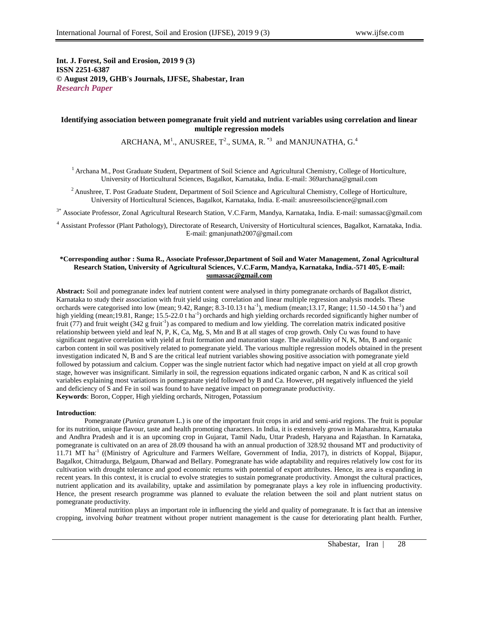**Int. J. Forest, Soil and Erosion, 2019 9 (3) ISSN 2251-6387 © August 2019, GHB's Journals, IJFSE, Shabestar, Iran** *Research Paper*

## **Identifying association between pomegranate fruit yield and nutrient variables using correlation and linear multiple regression models**

ARCHANA,  $M^1$ ., ANUSREE,  $T^2$ ., SUMA, R.  $^{*3}$  and MANJUNATHA, G.<sup>4</sup>

<sup>1</sup> Archana M., Post Graduate Student, Department of Soil Science and Agricultural Chemistry, College of Horticulture, University of Horticultural Sciences, Bagalkot, Karnataka, India. E-mail: 369archana@gmail.com

<sup>2</sup> Anushree, T. Post Graduate Student, Department of Soil Science and Agricultural Chemistry, College of Horticulture, University of Horticultural Sciences, Bagalkot, Karnataka, India. E-mail: anusreesoilscience@gmail.com

3\* Associate Professor, Zonal Agricultural Research Station, V.C.Farm, Mandya, Karnataka, India. E-mail: sumassac@gmail.com

<sup>4</sup> Assistant Professor (Plant Pathology), Directorate of Research, University of Horticultural sciences, Bagalkot, Karnataka, India. E-mail: gmanjunath2007@gmail.com

## **\*Corresponding author : Suma R., Associate Professor,Department of Soil and Water Management, Zonal Agricultural Research Station, University of Agricultural Sciences, V.C.Farm, Mandya, Karnataka, India.-571 405, E-mail: [sumassac@gmail.com](mailto:sumassac@gmail.com)**

**Abstract:** Soil and pomegranate index leaf nutrient content were analysed in thirty pomegranate orchards of Bagalkot district, Karnataka to study their association with fruit yield using correlation and linear multiple regression analysis models. These orchards were categorised into low (mean; 9.42, Range;  $8.3{\text{-}}10.13\text{ tha}^{-1}$ ), medium (mean; 13.17, Range; 11.50 -14.50 t ha<sup>-1</sup>) and high yielding (mean;19.81, Range; 15.5-22.0 t ha<sup>-1</sup>) orchards and high yielding orchards recorded significantly higher number of fruit (77) and fruit weight  $(342 \text{ g fruit}^{-1})$  as compared to medium and low yielding. The correlation matrix indicated positive relationship between yield and leaf N, P, K, Ca, Mg, S, Mn and B at all stages of crop growth. Only Cu was found to have significant negative correlation with yield at fruit formation and maturation stage. The availability of N, K, Mn, B and organic carbon content in soil was positively related to pomegranate yield. The various multiple regression models obtained in the present investigation indicated N, B and S are the critical leaf nutrient variables showing positive association with pomegranate yield followed by potassium and calcium. Copper was the single nutrient factor which had negative impact on yield at all crop growth stage, however was insignificant. Similarly in soil, the regression equations indicated organic carbon, N and K as critical soil variables explaining most variations in pomegranate yield followed by B and Ca. However, pH negatively influenced the yield and deficiency of S and Fe in soil was found to have negative impact on pomegranate productivity. **Keywords**: Boron, Copper, High yielding orchards, Nitrogen, Potassium

#### **Introduction**:

Pomegranate (*Punica granatum* L.) is one of the important fruit crops in arid and semi-arid regions. The fruit is popular for its nutrition, unique flavour, taste and health promoting characters. In India, it is extensively grown in Maharashtra, Karnataka and Andhra Pradesh and it is an upcoming crop in Gujarat, Tamil Nadu, Uttar Pradesh, Haryana and Rajasthan. In Karnataka, pomegranate is cultivated on an area of 28.09 thousand ha with an annual production of 328.92 thousand MT and productivity of 11.71 MT ha<sup>-1</sup> ((Ministry of Agriculture and Farmers Welfare, Government of India, 2017), in districts of Koppal, Bijapur, Bagalkot, Chitradurga, Belgaum, Dharwad and Bellary. Pomegranate has wide adaptability and requires relatively low cost for its cultivation with drought tolerance and good economic returns with potential of export attributes. Hence, its area is expanding in recent years. In this context, it is crucial to evolve strategies to sustain pomegranate productivity. Amongst the cultural practices, nutrient application and its availability, uptake and assimilation by pomegranate plays a key role in influencing productivity. Hence, the present research programme was planned to evaluate the relation between the soil and plant nutrient status on pomegranate productivity.

Mineral nutrition plays an important role in influencing the yield and quality of pomegranate. It is fact that an intensive cropping, involving *bahar* treatment without proper nutrient management is the cause for deteriorating plant health. Further,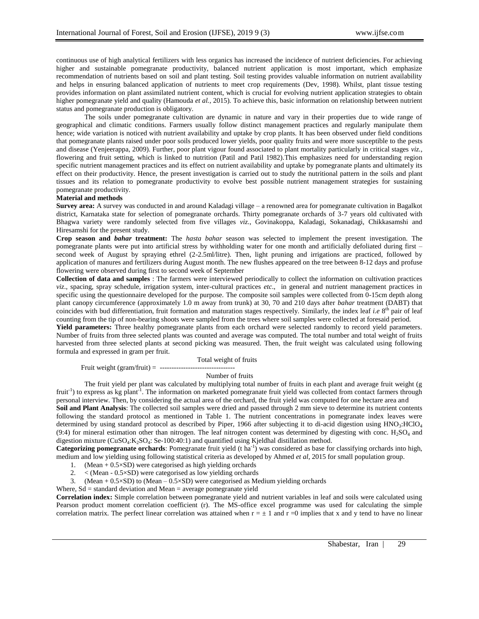continuous use of high analytical fertilizers with less organics has increased the incidence of nutrient deficiencies. For achieving higher and sustainable pomegranate productivity, balanced nutrient application is most important, which emphasize recommendation of nutrients based on soil and plant testing. Soil testing provides valuable information on nutrient availability and helps in ensuring balanced application of nutrients to meet crop requirements (Dev, 1998). Whilst, plant tissue testing provides information on plant assimilated nutrient content, which is crucial for evolving nutrient application strategies to obtain higher pomegranate yield and quality (Hamouda *et al.,* 2015). To achieve this, basic information on relationship between nutrient status and pomegranate production is obligatory.

The soils under pomegranate cultivation are dynamic in nature and vary in their properties due to wide range of geographical and climatic conditions. Farmers usually follow distinct management practices and regularly manipulate them hence; wide variation is noticed with nutrient availability and uptake by crop plants. It has been observed under field conditions that pomegranate plants raised under poor soils produced lower yields, poor quality fruits and were more susceptible to the pests and disease (Yenjeerappa, 2009). Further, poor plant vigour found associated to plant mortality particularly in critical stages *viz.*, flowering and fruit setting, which is linked to nutrition (Patil and Patil 1982).This emphasizes need for understanding region specific nutrient management practices and its effect on nutrient availability and uptake by pomegranate plants and ultimately its effect on their productivity. Hence, the present investigation is carried out to study the nutritional pattern in the soils and plant tissues and its relation to pomegranate productivity to evolve best possible nutrient management strategies for sustaining pomegranate productivity.

#### **Material and methods**

**Survey area:** A survey was conducted in and around Kaladagi village – a renowned area for pomegranate cultivation in Bagalkot district, Karnataka state for selection of pomegranate orchards. Thirty pomegranate orchards of 3-7 years old cultivated with Bhagwa variety were randomly selected from five villages *viz.*, Govinakoppa, Kaladagi, Sokanadagi, Chikkasamshi and Hiresamshi for the present study.

**Crop season and** *bahar* **treatment:** The *hasta bahar* season was selected to implement the present investigation. The pomegranate plants were put into artificial stress by withholding water for one month and artificially defoliated during first – second week of August by spraying ethrel (2-2.5ml/litre). Then, light pruning and irrigations are practiced, followed by application of manures and fertilizers during August month. The new flushes appeared on the tree between 8-12 days and profuse flowering were observed during first to second week of September

**Collection of data and samples** : The farmers were interviewed periodically to collect the information on cultivation practices *viz*., spacing, spray schedule, irrigation system, inter-cultural practices *etc*., in general and nutrient management practices in specific using the questionnaire developed for the purpose. The composite soil samples were collected from 0-15cm depth along plant canopy circumference (approximately 1.0 m away from trunk) at 30, 70 and 210 days after *bahar* treatment (DABT) that coincides with bud differentiation, fruit formation and maturation stages respectively. Similarly, the index leaf *i.e* 8<sup>th</sup> pair of leaf counting from the tip of non-bearing shoots were sampled from the trees where soil samples were collected at foresaid period.

**Yield parameters:** Three healthy pomegranate plants from each orchard were selected randomly to record yield parameters. Number of fruits from three selected plants was counted and average was computed. The total number and total weight of fruits harvested from three selected plants at second picking was measured. Then, the fruit weight was calculated using following formula and expressed in gram per fruit.

Total weight of fruits

Fruit weight (gram/fruit) = --------------------------------

## Number of fruits

The fruit yield per plant was calculated by multiplying total number of fruits in each plant and average fruit weight (g fruit<sup>-1</sup>) to express as kg plant<sup>-1</sup>. The information on marketed pomegranate fruit yield was collected from contact farmers through personal interview. Then, by considering the actual area of the orchard, the fruit yield was computed for one hectare area and

**Soil and Plant Analysis**: The collected soil samples were dried and passed through 2 mm sieve to determine its nutrient contents following the standard protocol as mentioned in Table 1. The nutrient concentrations in pomegranate index leaves were determined by using standard protocol as described by Piper, 1966 after subjecting it to di-acid digestion using HNO3:HClO4  $(9:4)$  for mineral estimation other than nitrogen. The leaf nitrogen content was determined by digesting with conc. H<sub>2</sub>SO<sub>4</sub> and digestion mixture (CuSO<sub>4</sub>:K<sub>2</sub>SO<sub>4</sub>: Se-100:40:1) and quantified using Kjeldhal distillation method.

Categorizing pomegranate orchards: Pomegranate fruit yield (t ha<sup>-1</sup>) was considered as base for classifying orchards into high, medium and low yielding using following statistical criteria as developed by Ahmed *et al*, 2015 for small population group.

- 1. (Mean  $+ 0.5 \times SD$ ) were categorised as high yielding orchards
- 2.  $\langle$  (Mean 0.5 $\times$ SD) were categorised as low yielding orchards
- 3. (Mean  $+ 0.5 \times SD$ ) to (Mean  $0.5 \times SD$ ) were categorised as Medium yielding orchards

Where,  $Sd =$  standard deviation and Mean  $=$  average pomegranate yield

**Correlation index:** Simple correlation between pomegranate yield and nutrient variables in leaf and soils were calculated using Pearson product moment correlation coefficient (r). The MS-office excel programme was used for calculating the simple correlation matrix. The perfect linear correlation was attained when  $r = \pm 1$  and  $r = 0$  implies that x and y tend to have no linear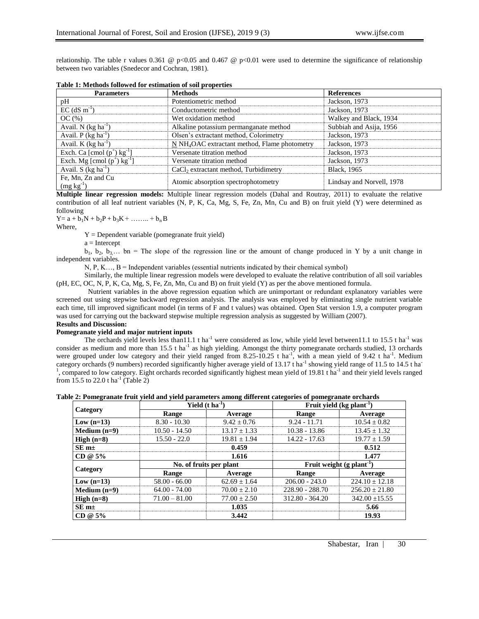relationship. The table r values 0.361 @ p<0.05 and 0.467 @ p<0.01 were used to determine the significance of relationship between two variables (Snedecor and Cochran, 1981).

| <b>Parameters</b>                         | <b>Methods</b>                                            | <b>References</b>         |
|-------------------------------------------|-----------------------------------------------------------|---------------------------|
| pH                                        | Potentiometric method                                     | Jackson, 1973             |
| $EC$ (dS m <sup>-1</sup> )                | Conductometric method                                     | Jackson, 1973             |
| OC(%)                                     | Wet oxidation method                                      | Walkey and Black, 1934    |
| Avail. N $(kg ha^{-1})$                   | Alkaline potassium permanganate method                    | Subbiah and Asija, 1956   |
| Avail. $P$ (kg ha <sup>-1</sup> )         | Olsen's extractant method, Colorimetry                    | Jackson, 1973             |
| Avail. K $(kg ha^{-1})$                   | N NH <sub>4</sub> OAC extractant method, Flame photometry | Jackson, 1973             |
| Exch. Ca [cmol $(p^+)$ kg <sup>-1</sup> ] | Versenate titration method                                | Jackson, 1973             |
| Exch. Mg [cmol $(p^+)$ kg <sup>-1</sup> ] | Versenate titration method                                | Jackson, 1973             |
| Avail. S $(kg ha-1)$                      | CaCl <sub>2</sub> extractant method, Turbidimetry         | Black, 1965               |
| Fe, Mn, Zn and Cu<br>$(mg kg-1)$          | Atomic absorption spectrophotometry                       | Lindsay and Norvell, 1978 |

| Table 1: Methods followed for estimation of soil properties |  |  |
|-------------------------------------------------------------|--|--|
|-------------------------------------------------------------|--|--|

**Multiple linear regression models:** Multiple linear regression models (Dahal and Routray, 2011) to evaluate the relative contribution of all leaf nutrient variables (N, P, K, Ca, Mg, S, Fe, Zn, Mn, Cu and B) on fruit yield (Y) were determined as following

 $Y = a + b_1N + b_2P + b_3K + \ldots + b_nB$ 

Where,

 $Y = Dependent variable (pomegrandte fruit yield)$ 

 $a =$ Intercept

 $b_1, b_2, b_3,...$  bn = The slope of the regression line or the amount of change produced in Y by a unit change in independent variables.

 $N, P, K, \ldots, B$  = Independent variables (essential nutrients indicated by their chemical symbol)

Similarly, the multiple linear regression models were developed to evaluate the relative contribution of all soil variables (pH, EC, OC, N, P, K, Ca, Mg, S, Fe, Zn, Mn, Cu and B) on fruit yield (Y) as per the above mentioned formula.

Nutrient variables in the above regression equation which are unimportant or redundant explanatory variables were screened out using stepwise backward regression analysis. The analysis was employed by eliminating single nutrient variable each time, till improved significant model (in terms of F and t values) was obtained. Open Stat version 1.9, a computer program was used for carrying out the backward stepwise multiple regression analysis as suggested by William (2007).

# **Results and Discussion:**

## **Pomegranate yield and major nutrient inputs**

The orchards yield levels less than11.1 t ha<sup>-1</sup> were considered as low, while yield level between11.1 to 15.5 t ha<sup>-1</sup> was consider as medium and more than  $15.5$  t ha<sup>-1</sup> as high yielding. Amongst the thirty pomegranate orchards studied, 13 orchards were grouped under low category and their yield ranged from 8.25-10.25 t ha<sup>-1</sup>, with a mean yield of 9.42 t ha<sup>-1</sup>. Medium category orchards (9 numbers) recorded significantly higher average yield of 13.17 t ha<sup>-1</sup> showing yield range of 11.5 to 14.5 t ha<sup>-1</sup> <sup>1</sup>, compared to low category. Eight orchards recorded significantly highest mean yield of 19.81 t ha<sup>-1</sup> and their yield levels ranged from 15.5 to 22.0 t ha<sup>-1</sup> (Table 2)

|  |  |  | Table 2: Pomegranate fruit yield and yield parameters among different categories of pomegranate orchards |
|--|--|--|----------------------------------------------------------------------------------------------------------|
|  |  |  |                                                                                                          |

|                | Yield $(t \text{ ha}^{-1})$ |                         | Fruit yield $(kg$ plant <sup>-1</sup> ) |                                       |  |  |  |
|----------------|-----------------------------|-------------------------|-----------------------------------------|---------------------------------------|--|--|--|
| Category       | Range                       | Average                 | Range                                   | Average                               |  |  |  |
| Low $(n=13)$   | $8.30 - 10.30$              | $9.42 \pm 0.76$         | $9.24 - 11.71$                          | $10.54 \pm 0.82$                      |  |  |  |
| Medium $(n=9)$ | $10.50 - 14.50$             | $13.17 \pm 1.33$        | $10.38 - 13.86$                         | $13.45 \pm 1.32$                      |  |  |  |
| High $(n=8)$   | $15.50 - 22.0$              | $19.81 \pm 1.94$        | $14.22 - 17.63$                         | $19.77 \pm 1.59$                      |  |  |  |
| $SEm+$         |                             | 0.459                   |                                         | 0.512                                 |  |  |  |
| $CD @ 5\%$     |                             | 1.616                   |                                         | 1.477                                 |  |  |  |
|                |                             | No. of fruits per plant |                                         | Fruit weight $(g$ plant <sup>-1</sup> |  |  |  |
| Category       | Range                       | Average                 | Range                                   | Average                               |  |  |  |
| Low $(n=13)$   | $58.00 - 66.00$             | $62.69 \pm 1.64$        | $206.00 - 243.0$                        | $224.10 \pm 12.18$                    |  |  |  |
| Medium $(n=9)$ | $64.00 - 74.00$             | $70.00 + 2.10$          | 228.90 - 288.70                         | $256.20 \pm 21.80$                    |  |  |  |
| High $(n=8)$   | $71.00 - 81.00$             | $77.00 \pm 2.50$        | $312.80 - 364.20$                       | $342.00 \pm 15.55$                    |  |  |  |
| $SEm+$         |                             | 1.035                   |                                         | 5.66                                  |  |  |  |
| $CD @ 5\%$     |                             | 3.442                   |                                         | 19.93                                 |  |  |  |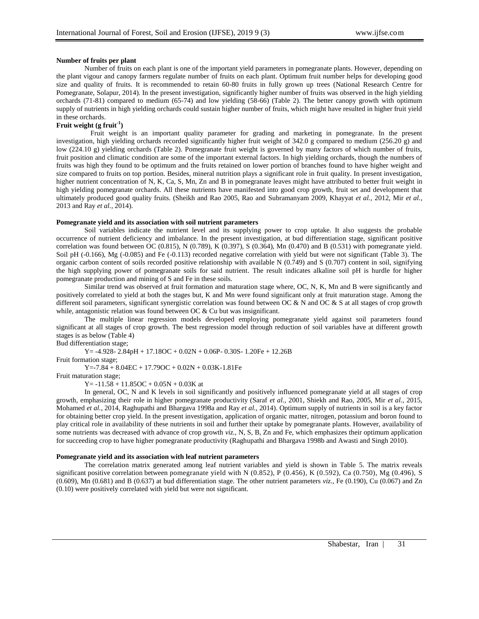## **Number of fruits per plant**

Number of fruits on each plant is one of the important yield parameters in pomegranate plants. However, depending on the plant vigour and canopy farmers regulate number of fruits on each plant. Optimum fruit number helps for developing good size and quality of fruits. It is recommended to retain 60-80 fruits in fully grown up trees (National Research Centre for Pomegranate, Solapur, 2014). In the present investigation, significantly higher number of fruits was observed in the high yielding orchards (71-81) compared to medium (65-74) and low yielding (58-66) (Table 2). The better canopy growth with optimum supply of nutrients in high yielding orchards could sustain higher number of fruits, which might have resulted in higher fruit yield in these orchards.

## **Fruit weight (g fruit-1 )**

Fruit weight is an important quality parameter for grading and marketing in pomegranate. In the present investigation, high yielding orchards recorded significantly higher fruit weight of 342.0 g compared to medium (256.20 g) and low (224.10 g) yielding orchards (Table 2). Pomegranate fruit weight is governed by many factors of which number of fruits, fruit position and climatic condition are some of the important external factors. In high yielding orchards, though the numbers of fruits was high they found to be optimum and the fruits retained on lower portion of branches found to have higher weight and size compared to fruits on top portion. Besides, mineral nutrition plays a significant role in fruit quality. In present investigation, higher nutrient concentration of N, K, Ca, S, Mn, Zn and B in pomegranate leaves might have attributed to better fruit weight in high yielding pomegranate orchards. All these nutrients have manifested into good crop growth, fruit set and development that ultimately produced good quality fruits. (Sheikh and Rao 2005, Rao and Subramanyam 2009, Khayyat *et al.,* 2012, Mir *et al.,*  2013 and Ray *et al.,* 2014).

#### **Pomegranate yield and its association with soil nutrient parameters**

Soil variables indicate the nutrient level and its supplying power to crop uptake. It also suggests the probable occurrence of nutrient deficiency and imbalance. In the present investigation, at bud differentiation stage, significant positive correlation was found between OC (0.815), N (0.789), K (0.397), S (0.364), Mn (0.470) and B (0.531) with pomegranate yield. Soil pH (-0.166), Mg (-0.085) and Fe (-0.113) recorded negative correlation with yield but were not significant (Table 3). The organic carbon content of soils recorded positive relationship with available N (0.749) and S (0.707) content in soil, signifying the high supplying power of pomegranate soils for said nutrient. The result indicates alkaline soil pH is hurdle for higher pomegranate production and mining of S and Fe in these soils.

Similar trend was observed at fruit formation and maturation stage where, OC, N, K, Mn and B were significantly and positively correlated to yield at both the stages but, K and Mn were found significant only at fruit maturation stage. Among the different soil parameters, significant synergistic correlation was found between OC & N and OC & S at all stages of crop growth while, antagonistic relation was found between OC & Cu but was insignificant.

The multiple linear regression models developed employing pomegranate yield against soil parameters found significant at all stages of crop growth. The best regression model through reduction of soil variables have at different growth stages is as below (Table 4)

Bud differentiation stage;

 $Y = -4.928 - 2.84pH + 17.18OC + 0.02N + 0.06P - 0.30S - 1.20Fe + 12.26B$ 

Fruit formation stage;

 $Y = -7.84 + 8.04$   $\text{EC} + 17.79$   $\text{OC} + 0.02$  N + 0.03 K-1.81 Fe

Fruit maturation stage;

 $Y = -11.58 + 11.85OC + 0.05N + 0.03K$  at

In general, OC, N and K levels in soil significantly and positively influenced pomegranate yield at all stages of crop growth, emphasizing their role in higher pomegranate productivity (Saraf *et al.,* 2001, Shiekh and Rao, 2005, Mir *et al.,* 2015, Mohamed *et al.,* 2014, Raghupathi and Bhargava 1998a and Ray *et al.,* 2014). Optimum supply of nutrients in soil is a key factor for obtaining better crop yield. In the present investigation, application of organic matter, nitrogen, potassium and boron found to play critical role in availability of these nutrients in soil and further their uptake by pomegranate plants. However, availability of some nutrients was decreased with advance of crop growth *viz.*, N, S, B, Zn and Fe, which emphasizes their optimum application for succeeding crop to have higher pomegranate productivity (Raghupathi and Bhargava 1998b and Awasti and Singh 2010).

#### **Pomegranate yield and its association with leaf nutrient parameters**

The correlation matrix generated among leaf nutrient variables and yield is shown in Table 5. The matrix reveals significant positive correlation between pomegranate yield with N  $(0.852)$ , P  $(0.456)$ , K  $(0.592)$ , Ca  $(0.750)$ , Mg  $(0.496)$ , S (0.609), Mn (0.681) and B (0.637) at bud differentiation stage. The other nutrient parameters *viz.*, Fe (0.190), Cu (0.067) and Zn (0.10) were positively correlated with yield but were not significant.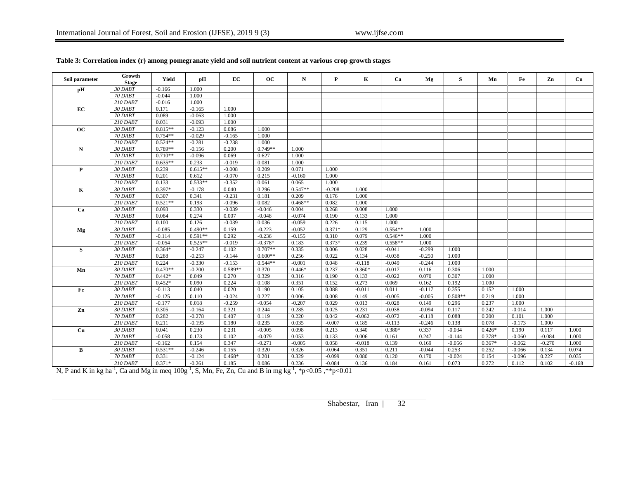| Soil parameter | Growth<br><b>Stage</b> | Yield     | pН        | EC        | <b>OC</b> | N         | P        | K        | Ca        | Mg       | S         | Mn       | Fe       | Zn       | Cu    |
|----------------|------------------------|-----------|-----------|-----------|-----------|-----------|----------|----------|-----------|----------|-----------|----------|----------|----------|-------|
| pH             | 30 DABT                | $-0.166$  | 1.000     |           |           |           |          |          |           |          |           |          |          |          |       |
|                | 70 DABT                | $-0.044$  | 1.000     |           |           |           |          |          |           |          |           |          |          |          |       |
|                | $210$ DABT             | $-0.016$  | 1.000     |           |           |           |          |          |           |          |           |          |          |          |       |
| EC             | 30 DABT                | 0.171     | $-0.165$  | 1.000     |           |           |          |          |           |          |           |          |          |          |       |
|                | 70 DABT                | 0.089     | $-0.063$  | 1.000     |           |           |          |          |           |          |           |          |          |          |       |
|                | 210 DABT               | 0.031     | $-0.093$  | 1.000     |           |           |          |          |           |          |           |          |          |          |       |
| oc             | 30 DABT                | $0.815**$ | $-0.123$  | 0.086     | 1.000     |           |          |          |           |          |           |          |          |          |       |
|                | 70 DABT                | $0.754**$ | $-0.029$  | $-0.165$  | 1.000     |           |          |          |           |          |           |          |          |          |       |
|                | $210$ DABT             | $0.524**$ | $-0.281$  | $-0.238$  | 1.000     |           |          |          |           |          |           |          |          |          |       |
| N              | 30 DABT                | $0.789**$ | $-0.156$  | 0.200     | $0.749**$ | 1.000     |          |          |           |          |           |          |          |          |       |
|                | 70 DABT                | $0.710**$ | $-0.096$  | 0.069     | 0.627     | 1.000     |          |          |           |          |           |          |          |          |       |
|                | 210 DABT               | $0.635**$ | 0.233     | $-0.019$  | 0.081     | 1.000     |          |          |           |          |           |          |          |          |       |
| P              | 30 DABT                | 0.239     | $0.615**$ | $-0.008$  | 0.209     | 0.071     | 1.000    |          |           |          |           |          |          |          |       |
|                | 70 DABT                | 0.201     | 0.612     | $-0.070$  | 0.215     | $-0.160$  | 1.000    |          |           |          |           |          |          |          |       |
|                | <b>210 DABT</b>        | 0.133     | $0.533**$ | $-0.352$  | 0.061     | 0.065     | 1.000    |          |           |          |           |          |          |          |       |
| K              | 30 DABT                | $0.397*$  | $-0.178$  | 0.040     | 0.296     | $0.547**$ | $-0.208$ | 1.000    |           |          |           |          |          |          |       |
|                | 70 DABT                | 0.307     | 0.341     | $-0.231$  | 0.181     | 0.209     | 0.176    | 1.000    |           |          |           |          |          |          |       |
|                | 210 DABT               | $0.521**$ | 0.193     | $-0.096$  | 0.082     | $0.468**$ | 0.082    | 1.000    |           |          |           |          |          |          |       |
| Ca             | 30 DABT                | 0.093     | 0.330     | $-0.039$  | $-0.046$  | 0.004     | 0.268    | 0.008    | 1.000     |          |           |          |          |          |       |
|                | 70 DABT                | 0.084     | 0.274     | 0.007     | $-0.048$  | $-0.074$  | 0.190    | 0.133    | 1.000     |          |           |          |          |          |       |
|                | 210 DABT               | 0.100     | 0.126     | $-0.039$  | 0.036     | $-0.059$  | 0.226    | 0.115    | 1.000     |          |           |          |          |          |       |
| <b>Mg</b>      | 30 DABT                | $-0.085$  | $0.490**$ | 0.159     | $-0.223$  | $-0.052$  | $0.371*$ | 0.129    | $0.554**$ | 1.000    |           |          |          |          |       |
|                | 70 DABT                | $-0.114$  | $0.591**$ | 0.292     | $-0.236$  | $-0.155$  | 0.310    | 0.079    | $0.546**$ | 1.000    |           |          |          |          |       |
|                | 210 DABT               | $-0.054$  | $0.525**$ | $-0.019$  | $-0.378*$ | 0.183     | $0.373*$ | 0.239    | $0.558**$ | 1.000    |           |          |          |          |       |
| S              | 30 DABT                | $0.364*$  | $-0.247$  | 0.102     | $0.707**$ | 0.335     | 0.006    | 0.028    | $-0.041$  | $-0.299$ | 1.000     |          |          |          |       |
|                | 70 DABT                | 0.288     | $-0.253$  | $-0.144$  | $0.600**$ | 0.256     | 0.022    | 0.134    | $-0.038$  | $-0.250$ | 1.000     |          |          |          |       |
|                | 210 DABT               | 0.224     | $-0.330$  | $-0.153$  | $0.544**$ | $-0.001$  | 0.048    | $-0.118$ | $-0.049$  | $-0.244$ | 1.000     |          |          |          |       |
| Mn             | 30 DABT                | $0.470**$ | $-0.200$  | $0.589**$ | 0.370     | $0.446*$  | 0.237    | $0.360*$ | $-0.017$  | 0.116    | 0.306     | 1.000    |          |          |       |
|                | 70 DABT                | $0.442*$  | 0.049     | 0.270     | 0.329     | 0.316     | 0.190    | 0.133    | $-0.022$  | 0.070    | 0.307     | 1.000    |          |          |       |
|                | 210 DABT               | $0.452*$  | 0.090     | 0.224     | 0.108     | 0.351     | 0.152    | 0.273    | 0.069     | 0.162    | 0.192     | 1.000    |          |          |       |
| Fe             | 30 DABT                | $-0.113$  | 0.040     | 0.020     | 0.190     | 0.105     | 0.088    | $-0.011$ | 0.011     | $-0.117$ | 0.355     | 0.152    | 1.000    |          |       |
|                | 70 DABT                | $-0.125$  | 0.110     | $-0.024$  | 0.227     | 0.006     | 0.008    | 0.149    | $-0.005$  | $-0.005$ | $0.508**$ | 0.219    | 1.000    |          |       |
|                | 210 DABT               | $-0.177$  | 0.018     | $-0.259$  | $-0.054$  | $-0.207$  | 0.029    | 0.013    | $-0.028$  | 0.149    | 0.296     | 0.237    | 1.000    |          |       |
| Zn             | 30 DABT                | 0.305     | $-0.164$  | 0.321     | 0.244     | 0.285     | 0.025    | 0.231    | $-0.038$  | $-0.094$ | 0.117     | 0.242    | $-0.014$ | 1.000    |       |
|                | 70 DABT                | 0.282     | $-0.278$  | 0.407     | 0.119     | 0.220     | 0.042    | $-0.062$ | $-0.072$  | $-0.118$ | 0.088     | 0.200    | 0.101    | 1.000    |       |
|                | 210 DABT               | 0.211     | $-0.195$  | 0.180     | 0.235     | 0.035     | $-0.007$ | 0.185    | $-0.113$  | $-0.246$ | 0.138     | 0.078    | $-0.173$ | 1.000    |       |
| Cu             | 30 DABT                | 0.041     | 0.230     | 0.231     | $-0.005$  | 0.098     | 0.213    | 0.340    | $0.380*$  | 0.337    | $-0.034$  | $0.426*$ | 0.190    | 0.117    | 1.000 |
|                | 70 DABT                | $-0.058$  | 0.173     | 0.102     | $-0.079$  | 0.053     | 0.133    | 0.006    | 0.161     | 0.247    | $-0.144$  | $0.378*$ | $-0.060$ | $-0.084$ | 1.000 |
|                | $210$ DABT             | $-0.162$  | 0.154     | 0.347     | $-0.271$  | $-0.005$  | 0.058    | $-0.018$ | 0.139     | 0.169    | $-0.056$  | $0.367*$ | $-0.062$ | $-0.270$ | 1.000 |
| B              | 30 DABT                | $0.531**$ | $-0.246$  | 0.155     | 0.320     | 0.326     | $-0.064$ | 0.351    | 0.211     | $-0.044$ | 0.253     | 0.252    | $-0.066$ | 0.134    | 0.074 |
|                | 70 DABT                | 0.331     | $-0.124$  | $0.468*$  | 0.201     | 0.329     | $-0.099$ | 0.080    | 0.120     | 0.170    | $-0.024$  | 0.154    | $-0.096$ | 0.227    | 0.035 |
|                | $210$ DAPT             | $0.271*$  | 0.261     | 0.195     | 0.096     | 0.226     | 0.094    | 0.126    | 0.194     | 0.161    | 0.072     | 0.272    | 0.112    | 0.102    | 0.169 |

# **Table 3: Correlation index (r) among pomegranate yield and soil nutrient content at various crop growth stages**

210 DABT 0.371\* 0.261 0.185 0.086 0.236 0.084 0.136 0.184 0.161 0.073 0.272 0.112 0.102 0.168<br>N, P and K in kg ha<sup>-1</sup>, Ca and Mg in meq 100g<sup>-1</sup>, S, Mn, Fe, Zn, Cu and B in mg kg<sup>-1</sup>, \*p<0.05, \*\*p<0.01

Shabestar, Iran | 32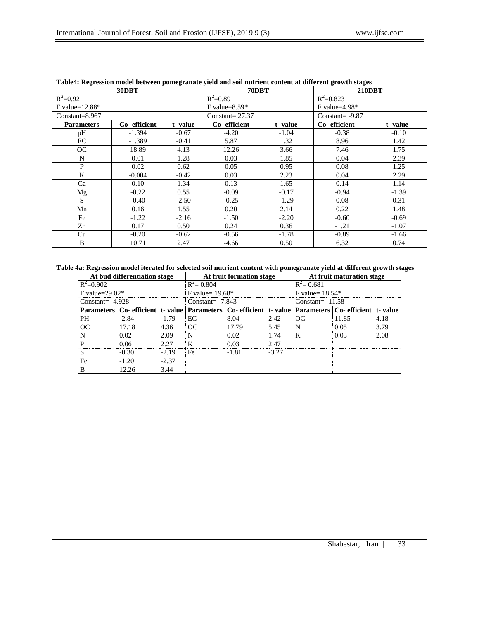| $\sim$             | 30DBT        | $\sim$  | 70DBT             |         | <b>210DBT</b>     |         |  |
|--------------------|--------------|---------|-------------------|---------|-------------------|---------|--|
| $R^2 = 0.92$       |              |         | $R^2=0.89$        |         | $R^2 = 0.823$     |         |  |
| F value= $12.88*$  |              |         | $F$ value=8.59*   |         | $F$ value=4.98*   |         |  |
| $Constant = 8.967$ |              |         | Constant= $27.37$ |         | Constant= $-9.87$ |         |  |
| <b>Parameters</b>  | Co-efficient | t-value | Co-efficient      | t-value | Co-efficient      | t-value |  |
| pН                 | $-1.394$     | $-0.67$ | $-4.20$           | $-1.04$ | $-0.38$           | $-0.10$ |  |
| EC                 | $-1.389$     | $-0.41$ | 5.87              | 1.32    | 8.96              | 1.42    |  |
| <b>OC</b>          | 18.89        | 4.13    | 12.26             | 3.66    | 7.46              | 1.75    |  |
| N                  | 0.01         | 1.28    | 0.03              | 1.85    | 0.04              | 2.39    |  |
| P                  | 0.02         | 0.62    | 0.05              | 0.95    | 0.08              | 1.25    |  |
| K                  | $-0.004$     | $-0.42$ | 0.03              | 2.23    | 0.04              | 2.29    |  |
| Ca                 | 0.10         | 1.34    | 0.13              | 1.65    | 0.14              | 1.14    |  |
| Mg                 | $-0.22$      | 0.55    | $-0.09$           | $-0.17$ | $-0.94$           | $-1.39$ |  |
| S                  | $-0.40$      | $-2.50$ | $-0.25$           | $-1.29$ | 0.08              | 0.31    |  |
| Mn                 | 0.16         | 1.55    | 0.20              | 2.14    | 0.22              | 1.48    |  |
| Fe                 | $-1.22$      | $-2.16$ | $-1.50$           | $-2.20$ | $-0.60$           | $-0.69$ |  |
| Zn                 | 0.17         | 0.50    | 0.24              | 0.36    | $-1.21$           | $-1.07$ |  |
| Cu                 | $-0.20$      | $-0.62$ | $-0.56$           | $-1.78$ | $-0.89$           | $-1.66$ |  |
| B                  | 10.71        | 2.47    | $-4.66$           | 0.50    | 6.32              | 0.74    |  |

## **Table4: Regression model between pomegranate yield and soil nutrient content at different growth stages**

## **Table 4a: Regression model iterated for selected soil nutrient content with pomegranate yield at different growth stages**

|                   | At bud differentiation stage                                     |         |               | At fruit formation stage                                                                                              |       | At fruit maturation stage |      |      |  |
|-------------------|------------------------------------------------------------------|---------|---------------|-----------------------------------------------------------------------------------------------------------------------|-------|---------------------------|------|------|--|
| $R^2 = 0.902$     |                                                                  |         | $R^2 = 0.804$ |                                                                                                                       |       | $R^2 = 0.681$             |      |      |  |
| F value= $29.02*$ | F value= $19.68*$<br>F value= $18.54*$                           |         |               |                                                                                                                       |       |                           |      |      |  |
|                   | Constant= $-7.843$<br>$Constant = -4.928$<br>$Constant = -11.58$ |         |               |                                                                                                                       |       |                           |      |      |  |
|                   |                                                                  |         |               | Parameters   Co- efficient   t- value   Parameters   Co- efficient   t- value   Parameters   Co- efficient   t- value |       |                           |      |      |  |
| <b>PH</b>         | $-2.84$                                                          | $-1.79$ | $E\Gamma$     | 8.04                                                                                                                  | 2.42  | റല                        | 185  | 418  |  |
| റല                | 1718                                                             | 436     | ΩC            | 17.79                                                                                                                 | 5.45  |                           | 0.05 | 3.79 |  |
|                   | 0. OQ                                                            | 2.09    | N             | 0 O2                                                                                                                  | 74    |                           | 0.03 | 2.08 |  |
| D                 | በ በ6                                                             | 2.27    |               | 0.03                                                                                                                  | 2.47  |                           |      |      |  |
|                   | -0.30                                                            | $-2.19$ | Fe            | -181                                                                                                                  | -3.27 |                           |      |      |  |
| Fe.               | -1.20                                                            | $-2.37$ |               |                                                                                                                       |       |                           |      |      |  |
|                   | 2 26                                                             | 3.44    |               |                                                                                                                       |       |                           |      |      |  |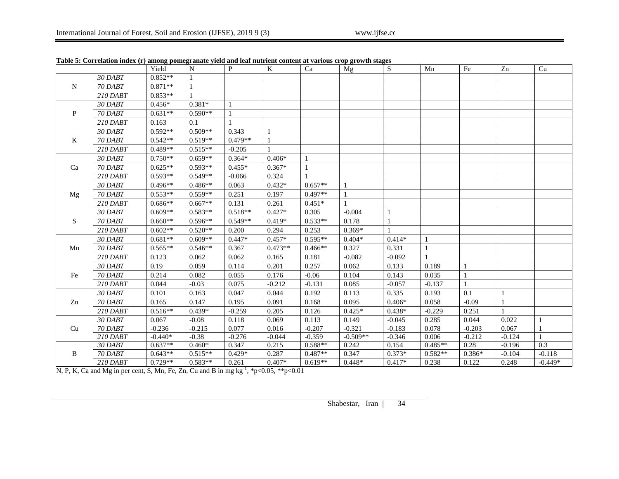|              |                 | Yield     | N         | P            | K              | Ca           | Mg         | S            | Mn        | Fe           | Zn           | Cu        |
|--------------|-----------------|-----------|-----------|--------------|----------------|--------------|------------|--------------|-----------|--------------|--------------|-----------|
|              | 30 DABT         | $0.852**$ |           |              |                |              |            |              |           |              |              |           |
| N            | 70 DABT         | $0.871**$ |           |              |                |              |            |              |           |              |              |           |
|              | 210 DABT        | $0.853**$ |           |              |                |              |            |              |           |              |              |           |
|              | 30 DABT         | $0.456*$  | $0.381*$  |              |                |              |            |              |           |              |              |           |
| P            | 70 DABT         | $0.631**$ | $0.590**$ | $\mathbf{1}$ |                |              |            |              |           |              |              |           |
|              | $210$ DABT      | 0.163     | 0.1       |              |                |              |            |              |           |              |              |           |
|              | 30 DABT         | $0.592**$ | $0.509**$ | 0.343        | -1             |              |            |              |           |              |              |           |
| $\mathbf{K}$ | 70 DABT         | $0.542**$ | $0.519**$ | $0.479**$    | $\overline{1}$ |              |            |              |           |              |              |           |
|              | $210$ DABT      | $0.489**$ | $0.515**$ | $-0.205$     |                |              |            |              |           |              |              |           |
|              | 30 DABT         | $0.750**$ | $0.659**$ | $0.364*$     | $0.406*$       | 1            |            |              |           |              |              |           |
| Ca           | 70 DABT         | $0.625**$ | $0.593**$ | $0.455*$     | $0.367*$       | $\mathbf{1}$ |            |              |           |              |              |           |
|              | 210 DABT        | $0.593**$ | $0.549**$ | $-0.066$     | 0.324          | $\mathbf{1}$ |            |              |           |              |              |           |
|              | 30 DABT         | $0.496**$ | $0.486**$ | 0.063        | $0.432*$       | $0.657**$    |            |              |           |              |              |           |
| Mg           | 70 DABT         | $0.553**$ | $0.559**$ | 0.251        | 0.197          | $0.497**$    |            |              |           |              |              |           |
|              | $210$ DABT      | $0.686**$ | $0.667**$ | 0.131        | 0.261          | $0.451*$     |            |              |           |              |              |           |
|              | 30 DABT         | $0.609**$ | $0.583**$ | $0.518**$    | $0.427*$       | 0.305        | $-0.004$   | $\mathbf{1}$ |           |              |              |           |
| S            | 70 DABT         | $0.660**$ | $0.596**$ | $0.549**$    | $0.419*$       | $0.533**$    | 0.178      | $\mathbf{1}$ |           |              |              |           |
|              | 210 DABT        | $0.602**$ | $0.520**$ | 0.200        | 0.294          | 0.253        | $0.369*$   |              |           |              |              |           |
|              | 30 DABT         | $0.681**$ | $0.609**$ | $0.447*$     | $0.457*$       | $0.595**$    | $0.404*$   | $0.414*$     |           |              |              |           |
| Mn           | 70 DABT         | $0.565**$ | $0.546**$ | 0.367        | $0.473**$      | $0.466**$    | 0.327      | 0.331        |           |              |              |           |
|              | $210$ DABT      | 0.123     | 0.062     | 0.062        | 0.165          | 0.181        | $-0.082$   | $-0.092$     |           |              |              |           |
|              | 30 DABT         | 0.19      | 0.059     | 0.114        | 0.201          | 0.257        | 0.062      | 0.133        | 0.189     | $\mathbf{1}$ |              |           |
| Fe           | 70 DABT         | 0.214     | 0.082     | 0.055        | 0.176          | $-0.06$      | 0.104      | 0.143        | 0.035     | 1            |              |           |
|              | <b>210 DABT</b> | 0.044     | $-0.03$   | 0.075        | $-0.212$       | $-0.131$     | 0.085      | $-0.057$     | $-0.137$  | $\mathbf{1}$ |              |           |
|              | 30 DABT         | 0.101     | 0.163     | 0.047        | 0.044          | 0.192        | 0.113      | 0.335        | 0.193     | 0.1          | $\mathbf{1}$ |           |
| Zn           | 70 DABT         | 0.165     | 0.147     | 0.195        | 0.091          | 0.168        | 0.095      | $0.406*$     | 0.058     | $-0.09$      |              |           |
|              | $210$ DABT      | $0.516**$ | $0.439*$  | $-0.259$     | 0.205          | 0.126        | $0.425*$   | $0.438*$     | $-0.229$  | 0.251        |              |           |
|              | 30 DABT         | 0.067     | $-0.08$   | 0.118        | 0.069          | 0.113        | 0.149      | $-0.045$     | 0.285     | 0.044        | 0.022        |           |
| Cu           | 70 DABT         | $-0.236$  | $-0.215$  | 0.077        | 0.016          | $-0.207$     | $-0.321$   | $-0.183$     | 0.078     | $-0.203$     | 0.067        |           |
|              | 210 DABT        | $-0.440*$ | $-0.38$   | $-0.276$     | $-0.044$       | $-0.359$     | $-0.509**$ | $-0.346$     | 0.006     | $-0.212$     | $-0.124$     |           |
|              | 30 DABT         | $0.637**$ | $0.460*$  | 0.347        | 0.215          | $0.588**$    | 0.242      | 0.154        | $0.485**$ | 0.28         | $-0.196$     | 0.3       |
|              | 70 DABT         | $0.643**$ | $0.515**$ | $0.429*$     | 0.287          | $0.487**$    | 0.347      | $0.373*$     | $0.582**$ | $0.386*$     | $-0.104$     | $-0.118$  |
| B            | <b>210 DABT</b> | $0.729**$ | $0.583**$ | 0.261        | $0.407*$       | $0.619**$    | $0.448*$   | $0.417*$     | 0.238     | 0.122        | 0.248        | $-0.449*$ |

**Table 5: Correlation index (r) among pomegranate yield and leaf nutrient content at various crop growth stages**

N, P, K, Ca and Mg in per cent, S, Mn, Fe, Zn, Cu and B in mg kg<sup>-1</sup>, \*p<0.05, \*\*p<0.01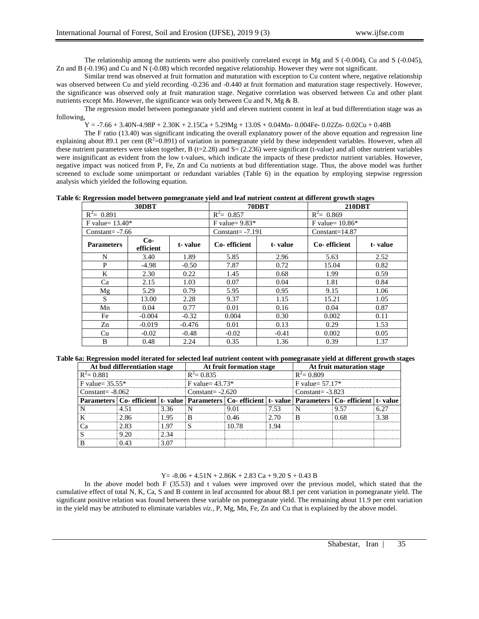The relationship among the nutrients were also positively correlated except in Mg and S (-0.004), Cu and S (-0.045), Zn and B (-0.196) and Cu and N (-0.08) which recorded negative relationship. However they were not significant.

Similar trend was observed at fruit formation and maturation with exception to Cu content where, negative relationship was observed between Cu and yield recording -0.236 and -0.440 at fruit formation and maturation stage respectively. However, the significance was observed only at fruit maturation stage. Negative correlation was observed between Cu and other plant nutrients except Mn. However, the significance was only between Cu and N, Mg & B.

The regression model between pomegranate yield and eleven nutrient content in leaf at bud differentiation stage was as following,

 $Y = -7.66 + 3.40N - 4.98P + 2.30K + 2.15Ca + 5.29Mg + 13.0S + 0.04Mn - 0.004Fe - 0.02Zn - 0.02Cu + 0.48B$ 

The F ratio (13.40) was significant indicating the overall explanatory power of the above equation and regression line explaining about 89.1 per cent  $(R^2=0.891)$  of variation in pomegranate yield by these independent variables. However, when all these nutrient parameters were taken together, B ( $t=2.28$ ) and  $S = (2.236)$  were significant (t-value) and all other nutrient variables were insignificant as evident from the low t-values, which indicate the impacts of these predictor nutrient variables. However, negative impact was noticed from P, Fe, Zn and Cu nutrients at bud differentiation stage. Thus, the above model was further screened to exclude some unimportant or redundant variables (Table 6) in the equation by employing stepwise regression analysis which yielded the following equation.

**Table 6: Regression model between pomegranate yield and leaf nutrient content at different growth stages**

|                    | 30DBT              |          |                    | 70DBT   | <b>210DBT</b>     |         |  |  |
|--------------------|--------------------|----------|--------------------|---------|-------------------|---------|--|--|
| $R^2 = 0.891$      |                    |          | $R^2$ = 0.857      |         | $R^2$ = 0.869     |         |  |  |
| F value= $13.40*$  |                    |          | F value= $9.83*$   |         | F value= $10.86*$ |         |  |  |
| $Constant = -7.66$ |                    |          | Constant= $-7.191$ |         | $Constant=14.87$  |         |  |  |
| <b>Parameters</b>  | $Co-$<br>efficient | t-value  | Co-efficient       | t-value | Co-efficient      | t-value |  |  |
| N                  | 3.40               | 1.89     | 5.85               | 2.96    | 5.63              | 2.52    |  |  |
| P                  | $-4.98$            | $-0.50$  | 7.87               | 0.72    | 15.04             | 0.82    |  |  |
| K                  | 2.30               | 0.22     | 1.45               | 0.68    | 1.99              | 0.59    |  |  |
| Ca                 | 2.15               | 1.03     | 0.07               | 0.04    | 1.81              | 0.84    |  |  |
| Mg                 | 5.29               | 0.79     | 5.95               | 0.95    | 9.15              | 1.06    |  |  |
| S.                 | 13.00              | 2.28     | 9.37               | 1.15    | 15.21             | 1.05    |  |  |
| Mn                 | 0.04               | 0.77     | 0.01               | 0.16    | 0.04              | 0.87    |  |  |
| Fe                 | $-0.004$           | $-0.32$  | 0.004              | 0.30    | 0.002             | 0.11    |  |  |
| Zn                 | $-0.019$           | $-0.476$ | 0.01               | 0.13    | 0.29              | 1.53    |  |  |
| Cu                 | $-0.02$            | $-0.48$  | $-0.02$            | $-0.41$ | 0.002             | 0.05    |  |  |
| B                  | 0.48               | 2.24     | 0.35               | 1.36    | 0.39              | 1.37    |  |  |

**Table 6a: Regression model iterated for selected leaf nutrient content with pomegranate yield at different growth stages**

|                                                 | At bud differentiation stage                                                                                          |      |                                        | At fruit formation stage |      | At fruit maturation stage |      |      |  |
|-------------------------------------------------|-----------------------------------------------------------------------------------------------------------------------|------|----------------------------------------|--------------------------|------|---------------------------|------|------|--|
| $R^2$ = 0.881<br>$R^2$ = 0.835<br>$R^2$ = 0.809 |                                                                                                                       |      |                                        |                          |      |                           |      |      |  |
| $F$ value= 35.55*                               |                                                                                                                       |      | $F$ value= 57.17*<br>F value= $43.73*$ |                          |      |                           |      |      |  |
| Constant= $-8.062$                              |                                                                                                                       |      | Constant= $-2.620$                     |                          |      | $Constant = -3.823$       |      |      |  |
|                                                 | Parameters   Co- efficient   t- value   Parameters   Co- efficient   t- value   Parameters   Co- efficient   t- value |      |                                        |                          |      |                           |      |      |  |
|                                                 |                                                                                                                       | 336  |                                        | 9 O 1                    | ' 53 |                           | Q 57 |      |  |
|                                                 | 2.86                                                                                                                  | 195  |                                        | በ 46                     | 2.70 |                           | በ 68 | 3.38 |  |
|                                                 | 2 83                                                                                                                  | . 97 |                                        | 10.78                    | -94  |                           |      |      |  |
|                                                 |                                                                                                                       | 2 34 |                                        |                          |      |                           |      |      |  |
|                                                 |                                                                                                                       | 3.OZ |                                        |                          |      |                           |      |      |  |

 $Y = -8.06 + 4.51N + 2.86K + 2.83 Ca + 9.20 S + 0.43 B$ 

In the above model both F (35.53) and t values were improved over the previous model, which stated that the cumulative effect of total N, K, Ca, S and B content in leaf accounted for about 88.1 per cent variation in pomegranate yield. The significant positive relation was found between these variable on pomegranate yield. The remaining about 11.9 per cent variation in the yield may be attributed to eliminate variables *viz.*, P, Mg, Mn, Fe, Zn and Cu that is explained by the above model.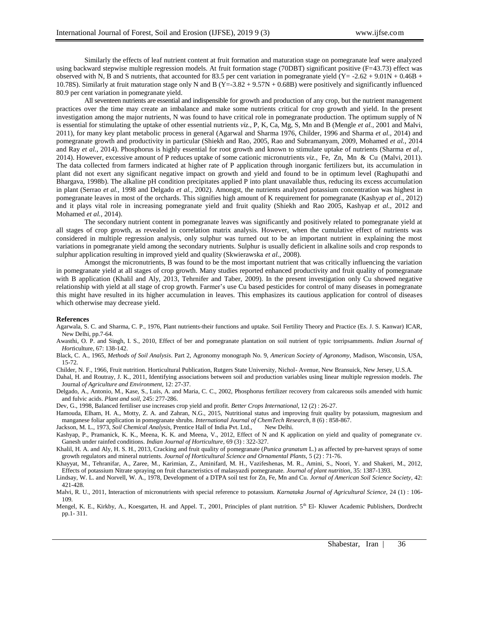Similarly the effects of leaf nutrient content at fruit formation and maturation stage on pomegranate leaf were analyzed using backward stepwise multiple regression models. At fruit formation stage (70DBT) significant positive (F=43.73) effect was observed with N, B and S nutrients, that accounted for 83.5 per cent variation in pomegranate yield  $(Y = -2.62 + 9.01N + 0.46B +$ 10.78S). Similarly at fruit maturation stage only N and B (Y=-3.82 + 9.57N + 0.68B) were positively and significantly influenced 80.9 per cent variation in pomegranate yield.

All seventeen nutrients are essential and indispensible for growth and production of any crop, but the nutrient management practices over the time may create an imbalance and make some nutrients critical for crop growth and yield. In the present investigation among the major nutrients, N was found to have critical role in pomegranate production. The optimum supply of N is essential for stimulating the uptake of other essential nutrients *viz.*, P, K, Ca, Mg, S, Mn and B (Mengle *et al.,* 2001 and Malvi, 2011), for many key plant metabolic process in general (Agarwal and Sharma 1976, Childer, 1996 and Sharma *et al.,* 2014) and pomegranate growth and productivity in particular (Shiekh and Rao, 2005, Rao and Subramanyam, 2009, Mohamed *et al.,* 2014 and Ray *et al.,* 2014). Phosphorus is highly essential for root growth and known to stimulate uptake of nutrients (Sharma *et al.,*  2014). However, excessive amount of P reduces uptake of some cationic micronutrients *viz.,* Fe, Zn, Mn & Cu (Malvi, 2011). The data collected from farmers indicated at higher rate of P application through inorganic fertilizers but, its accumulation in plant did not exert any significant negative impact on growth and yield and found to be in optimum level (Raghupathi and Bhargava, 1998b). The alkaline pH condition precipitates applied P into plant unavailable thus, reducing its excess accumulation in plant (Serrao *et al.,* 1998 and Delgado *et al.,* 2002). Amongst, the nutrients analyzed potassium concentration was highest in pomegranate leaves in most of the orchards. This signifies high amount of K requirement for pomegranate (Kashyap *et al.,* 2012) and it plays vital role in increasing pomegranate yield and fruit quality (Shiekh and Rao 2005, Kashyap *et al.,* 2012 and Mohamed *et al.,* 2014).

The secondary nutrient content in pomegranate leaves was significantly and positively related to pomegranate yield at all stages of crop growth, as revealed in correlation matrix analysis. However, when the cumulative effect of nutrients was considered in multiple regression analysis, only sulphur was turned out to be an important nutrient in explaining the most variations in pomegranate yield among the secondary nutrients. Sulphur is usually deficient in alkaline soils and crop responds to sulphur application resulting in improved yield and quality (Skwierawska *et al.,* 2008).

Amongst the micronutrients, B was found to be the most important nutrient that was critically influencing the variation in pomegranate yield at all stages of crop growth. Many studies reported enhanced productivity and fruit quality of pomegranate with B application (Khalil and Aly, 2013, Tehrnifer and Taber, 2009). In the present investigation only Cu showed negative relationship with yield at all stage of crop growth. Farmer's use Cu based pesticides for control of many diseases in pomegranate this might have resulted in its higher accumulation in leaves. This emphasizes its cautious application for control of diseases which otherwise may decrease yield.

#### **References**

- Agarwala, S. C. and Sharma, C. P., 1976, Plant nutrients-their functions and uptake. Soil Fertility Theory and Practice (Es. J. S. Kanwar) ICAR, New Delhi, pp.7-64.
- Awasthi, O. P. and Singh, I. S., 2010, Effect of ber and pomegranate plantation on soil nutrient of typic torripsamments. *Indian Journal of Hort*iculture, 67: 138-142.
- Black, C. A., 1965, *Methods of Soil Analysis*. Part 2, Agronomy monograph No. 9, *American Society of Agronomy*, Madison, Wisconsin, USA, 15-72.
- Childer, N. F., 1966, Fruit nutrition. Horticultural Publication, Rutgers State University, Nichol- Avenue, New Bransuick, New Jersey, U.S.A.

Dahal, H. and Routray, J. K., 2011, Identifying associations between soil and production variables using linear multiple regression models. *The*  Journal *of Agriculture and Environment,* 12: 27-37.

Delgado, A., Antonio, M., Kase, S., Luis, A. and Maria, C. C., 2002, Phosphorus fertilizer recovery from calcareous soils amended with humic and fulvic acids. *Plant and soil*, 245: 277-286.

Dev, G., 1998, Balanced fertiliser use increases crop yield and profit. *Better Crops International*, 12 (2) : 26-27.

Hamouda, Elham, H. A., Motty, Z. A. and Zahran, N.G., 2015, Nutritional status and improving fruit quality by potassium, magnesium and manganese foliar application in pomegranate shrubs. *International Journal of ChemTech Research,* 8 (6) : 858-867.

Jackson, M. L., 1973, *Soil Chemical Analysis,* Prentice Hall of India Pvt. Ltd., New Delhi.

- Kashyap, P., Pramanick, K. K., Meena, K. K. and Meena, V., 2012, Effect of N and K application on yield and quality of pomegranate cv. Ganesh under rainfed conditions. *Indian Journal of Horticulture,* 69 (3) : 322-327.
- Khalil, H. A. and Aly, H. S. H., 2013, Cracking and fruit quality of pomegranate (*Punica granatum* L.) as affected by pre-harvest sprays of some growth regulators and mineral nutrients. *Journal of Horticultural Science and Ornamental Plants,* 5 (2) : 71-76.
- Khayyat, M., Tehranifar, A., Zaree, M., Karimian, Z., Aminifard, M. H., Vazifeshenas, M. R., Amini, S., Noori, Y. and Shakeri, M., 2012, Effects of potassium Nitrate spraying on fruit characteristics of malasyazdi pomegranate. *Journal of plant nutrition*, 35: 1387-1393.
- Lindsay, W. L. and Norvell, W. A., 1978, Development of a DTPA soil test for Zn, Fe, Mn and Cu. *Jornal of American Soil Science Society,* 42: 421-428.
- Malvi, R. U., 2011, Interaction of micronutrients with special reference to potassium. *Karnataka Journal of Agricultural Science,* 24 (1) : 106- 109.
- Mengel, K. E., Kirkby, A., Koesgarten, H. and Appel. T., 2001, Principles of plant nutrition. 5<sup>th</sup> El- Kluwer Academic Publishers, Dordrecht pp.1- 311.